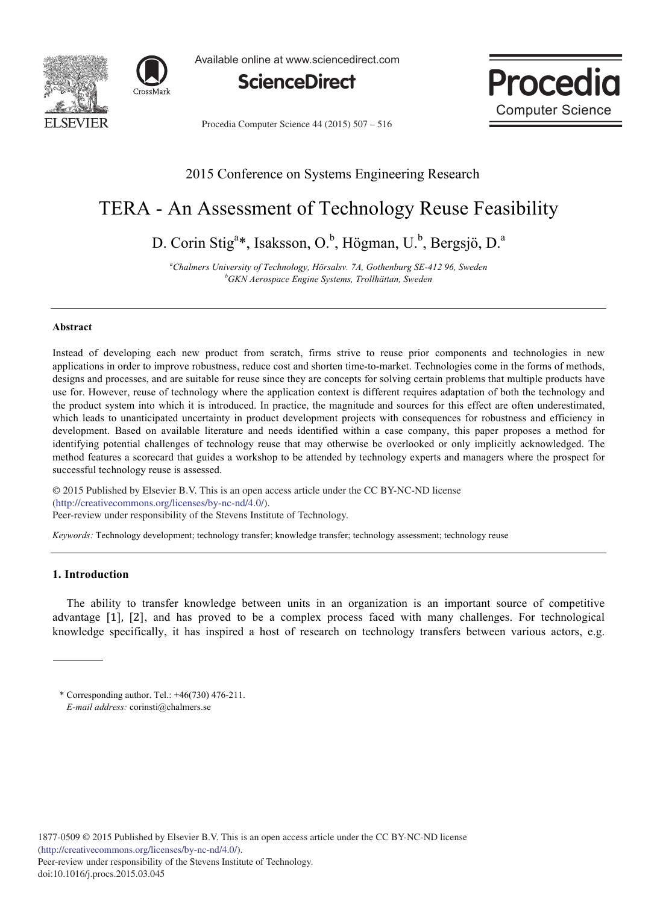



Available online at www.sciencedirect.com





Procedia Computer Science 44 (2015) 507 – 516

# 2015 Conference on Systems Engineering Research

# TERA - An Assessment of Technology Reuse Feasibility

D. Corin Stig<sup>a\*</sup>, Isaksson, O.<sup>b</sup>, Högman, U.<sup>b</sup>, Bergsjö, D.<sup>a</sup>

<sup>a</sup>Chalmers University of Technology, Hörsalsv. 7A, Gothenburg SE-412 96, Sweden *bCKN Assosness* Engine Systems Trallhätten System *GKN Aerospace Engine Systems, Trollhättan, Sweden* 

#### **Abstract**

Instead of developing each new product from scratch, firms strive to reuse prior components and technologies in new applications in order to improve robustness, reduce cost and shorten time-to-market. Technologies come in the forms of methods, designs and processes, and are suitable for reuse since they are concepts for solving certain problems that multiple products have use for. However, reuse of technology where the application context is different requires adaptation of both the technology and the product system into which it is introduced. In practice, the magnitude and sources for this effect are often underestimated, which leads to unanticipated uncertainty in product development projects with consequences for robustness and efficiency in development. Based on available literature and needs identified within a case company, this paper proposes a method for identifying potential challenges of technology reuse that may otherwise be overlooked or only implicitly acknowledged. The method features a scorecard that guides a workshop to be attended by technology experts and managers where the prospect for successful technology reuse is assessed.

© 2015 The Authors. Published by Elsevier B.V. (http://creativecommons.org/licenses/by-nc-nd/4.0/). metric commonsion generatory in the stevens. © 2015 Published by Elsevier B.V. This is an open access article under the CC BY-NC-ND license

*Keywords:* Technology development; technology transfer; knowledge transfer; technology assessment; technology reuse

# **1. Introduction**

The ability to transfer knowledge between units in an organization is an important source of competitive advantage [1], [2], and has proved to be a complex process faced with many challenges. For technological knowledge specifically, it has inspired a host of research on technology transfers between various actors, e.g.

<sup>\*</sup> Corresponding author. Tel.: +46(730) 476-211. *E-mail address:* corinsti@chalmers.se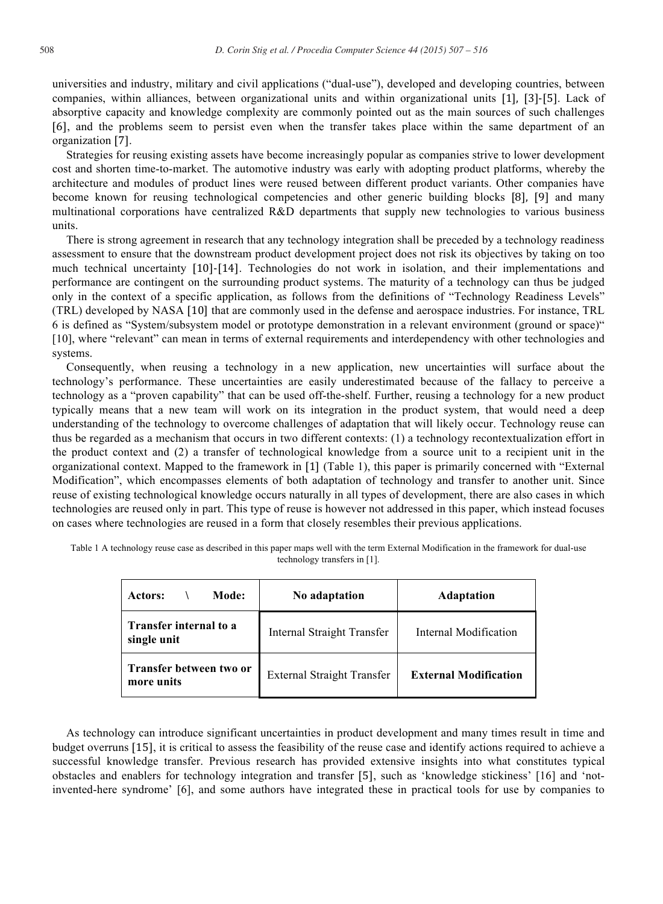universities and industry, military and civil applications ("dual-use"), developed and developing countries, between companies, within alliances, between organizational units and within organizational units [1], [3]-[5]. Lack of absorptive capacity and knowledge complexity are commonly pointed out as the main sources of such challenges  , and the problems seem to persist even when the transfer takes place within the same department of an organization  .

Strategies for reusing existing assets have become increasingly popular as companies strive to lower development cost and shorten time-to-market. The automotive industry was early with adopting product platforms, whereby the architecture and modules of product lines were reused between different product variants. Other companies have become known for reusing technological competencies and other generic building blocks [8], [9] and many multinational corporations have centralized R&D departments that supply new technologies to various business units.

There is strong agreement in research that any technology integration shall be preceded by a technology readiness assessment to ensure that the downstream product development project does not risk its objectives by taking on too much technical uncertainty [10]-[14]. Technologies do not work in isolation, and their implementations and performance are contingent on the surrounding product systems. The maturity of a technology can thus be judged only in the context of a specific application, as follows from the definitions of "Technology Readiness Levels" (TRL) developed by NASA [10] that are commonly used in the defense and aerospace industries. For instance, TRL 6 is defined as "System/subsystem model or prototype demonstration in a relevant environment (ground or space)" [10], where "relevant" can mean in terms of external requirements and interdependency with other technologies and systems.

Consequently, when reusing a technology in a new application, new uncertainties will surface about the technology's performance. These uncertainties are easily underestimated because of the fallacy to perceive a technology as a "proven capability" that can be used off-the-shelf. Further, reusing a technology for a new product typically means that a new team will work on its integration in the product system, that would need a deep understanding of the technology to overcome challenges of adaptation that will likely occur. Technology reuse can thus be regarded as a mechanism that occurs in two different contexts: (1) a technology recontextualization effort in the product context and (2) a transfer of technological knowledge from a source unit to a recipient unit in the organizational context. Mapped to the framework in  (Table 1), this paper is primarily concerned with "External Modification", which encompasses elements of both adaptation of technology and transfer to another unit. Since reuse of existing technological knowledge occurs naturally in all types of development, there are also cases in which technologies are reused only in part. This type of reuse is however not addressed in this paper, which instead focuses on cases where technologies are reused in a form that closely resembles their previous applications.

| technology transfers in [1]. |     |                    |  |  |  |  |
|------------------------------|-----|--------------------|--|--|--|--|
|                              | - - | $\sim$ $\sim$<br>. |  |  |  |  |

Table 1 A technology reuse case as described in this paper maps well with the term External Modification in the framework for dual-use

| Mode:<br>Actors:                             | No adaptation              | <b>Adaptation</b>            |
|----------------------------------------------|----------------------------|------------------------------|
| <b>Transfer internal to a</b><br>single unit | Internal Straight Transfer | Internal Modification        |
| Transfer between two or<br>more units        | External Straight Transfer | <b>External Modification</b> |

As technology can introduce significant uncertainties in product development and many times result in time and budget overruns [15], it is critical to assess the feasibility of the reuse case and identify actions required to achieve a successful knowledge transfer. Previous research has provided extensive insights into what constitutes typical obstacles and enablers for technology integration and transfer [5], such as 'knowledge stickiness' [16] and 'notinvented-here syndrome' [6], and some authors have integrated these in practical tools for use by companies to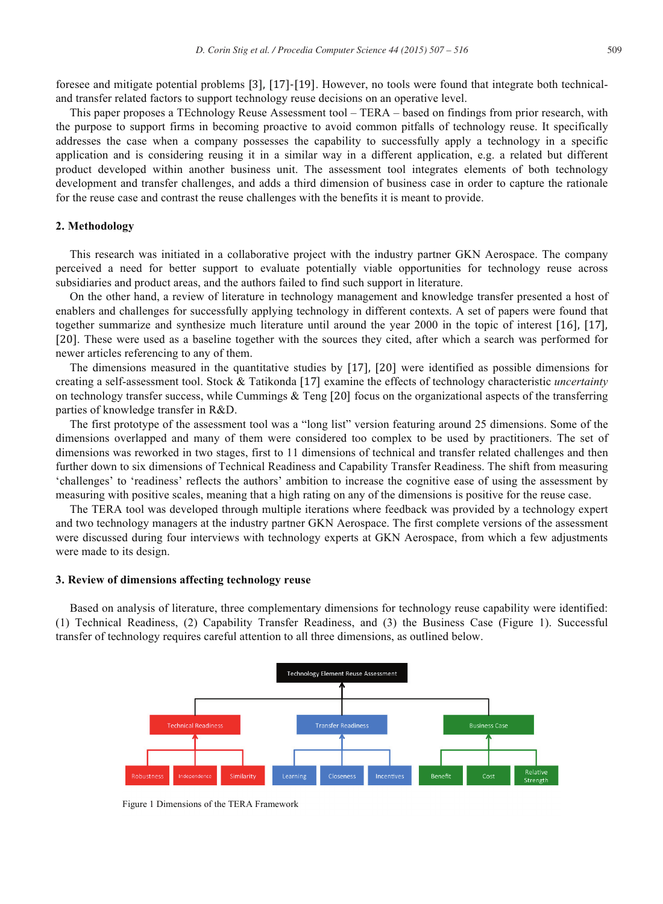foresee and mitigate potential problems [3], [17]-[19]. However, no tools were found that integrate both technicaland transfer related factors to support technology reuse decisions on an operative level.

This paper proposes a TEchnology Reuse Assessment tool – TERA – based on findings from prior research, with the purpose to support firms in becoming proactive to avoid common pitfalls of technology reuse. It specifically addresses the case when a company possesses the capability to successfully apply a technology in a specific application and is considering reusing it in a similar way in a different application, e.g. a related but different product developed within another business unit. The assessment tool integrates elements of both technology development and transfer challenges, and adds a third dimension of business case in order to capture the rationale for the reuse case and contrast the reuse challenges with the benefits it is meant to provide.

# **2. Methodology**

This research was initiated in a collaborative project with the industry partner GKN Aerospace. The company perceived a need for better support to evaluate potentially viable opportunities for technology reuse across subsidiaries and product areas, and the authors failed to find such support in literature.

On the other hand, a review of literature in technology management and knowledge transfer presented a host of enablers and challenges for successfully applying technology in different contexts. A set of papers were found that together summarize and synthesize much literature until around the year 2000 in the topic of interest [16], [17], [20]. These were used as a baseline together with the sources they cited, after which a search was performed for newer articles referencing to any of them.

The dimensions measured in the quantitative studies by [17], [20] were identified as possible dimensions for creating a self-assessment tool. Stock & Tatikonda [17] examine the effects of technology characteristic *uncertainty* on technology transfer success, while Cummings  $\&$  Teng [20] focus on the organizational aspects of the transferring parties of knowledge transfer in R&D.

The first prototype of the assessment tool was a "long list" version featuring around 25 dimensions. Some of the dimensions overlapped and many of them were considered too complex to be used by practitioners. The set of dimensions was reworked in two stages, first to 11 dimensions of technical and transfer related challenges and then further down to six dimensions of Technical Readiness and Capability Transfer Readiness. The shift from measuring 'challenges' to 'readiness' reflects the authors' ambition to increase the cognitive ease of using the assessment by measuring with positive scales, meaning that a high rating on any of the dimensions is positive for the reuse case.

The TERA tool was developed through multiple iterations where feedback was provided by a technology expert and two technology managers at the industry partner GKN Aerospace. The first complete versions of the assessment were discussed during four interviews with technology experts at GKN Aerospace, from which a few adjustments were made to its design.

# **3. Review of dimensions affecting technology reuse**

Based on analysis of literature, three complementary dimensions for technology reuse capability were identified: (1) Technical Readiness, (2) Capability Transfer Readiness, and (3) the Business Case (Figure 1). Successful transfer of technology requires careful attention to all three dimensions, as outlined below.



Figure 1 Dimensions of the TERA Framework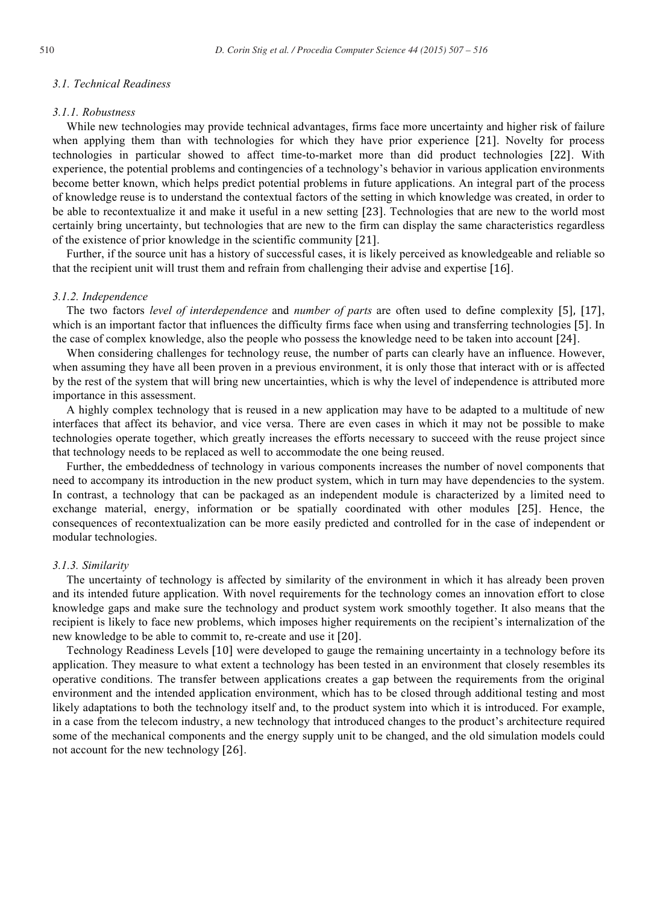# *3.1. Technical Readiness*

# *3.1.1. Robustness*

While new technologies may provide technical advantages, firms face more uncertainty and higher risk of failure when applying them than with technologies for which they have prior experience [21]. Novelty for process technologies in particular showed to affect time-to-market more than did product technologies  . With experience, the potential problems and contingencies of a technology's behavior in various application environments become better known, which helps predict potential problems in future applications. An integral part of the process of knowledge reuse is to understand the contextual factors of the setting in which knowledge was created, in order to be able to recontextualize it and make it useful in a new setting [23]. Technologies that are new to the world most certainly bring uncertainty, but technologies that are new to the firm can display the same characteristics regardless of the existence of prior knowledge in the scientific community  .

Further, if the source unit has a history of successful cases, it is likely perceived as knowledgeable and reliable so that the recipient unit will trust them and refrain from challenging their advise and expertise  .

#### *3.1.2. Independence*

The two factors *level of interdependence* and *number of parts* are often used to define complexity [5], [17], which is an important factor that influences the difficulty firms face when using and transferring technologies [5]. In the case of complex knowledge, also the people who possess the knowledge need to be taken into account  .

When considering challenges for technology reuse, the number of parts can clearly have an influence. However, when assuming they have all been proven in a previous environment, it is only those that interact with or is affected by the rest of the system that will bring new uncertainties, which is why the level of independence is attributed more importance in this assessment.

A highly complex technology that is reused in a new application may have to be adapted to a multitude of new interfaces that affect its behavior, and vice versa. There are even cases in which it may not be possible to make technologies operate together, which greatly increases the efforts necessary to succeed with the reuse project since that technology needs to be replaced as well to accommodate the one being reused.

Further, the embeddedness of technology in various components increases the number of novel components that need to accompany its introduction in the new product system, which in turn may have dependencies to the system. In contrast, a technology that can be packaged as an independent module is characterized by a limited need to exchange material, energy, information or be spatially coordinated with other modules [25]. Hence, the consequences of recontextualization can be more easily predicted and controlled for in the case of independent or modular technologies.

#### *3.1.3. Similarity*

The uncertainty of technology is affected by similarity of the environment in which it has already been proven and its intended future application. With novel requirements for the technology comes an innovation effort to close knowledge gaps and make sure the technology and product system work smoothly together. It also means that the recipient is likely to face new problems, which imposes higher requirements on the recipient's internalization of the new knowledge to be able to commit to, re-create and use it [20].

Technology Readiness Levels [10] were developed to gauge the remaining uncertainty in a technology before its application. They measure to what extent a technology has been tested in an environment that closely resembles its operative conditions. The transfer between applications creates a gap between the requirements from the original environment and the intended application environment, which has to be closed through additional testing and most likely adaptations to both the technology itself and, to the product system into which it is introduced. For example, in a case from the telecom industry, a new technology that introduced changes to the product's architecture required some of the mechanical components and the energy supply unit to be changed, and the old simulation models could not account for the new technology [26].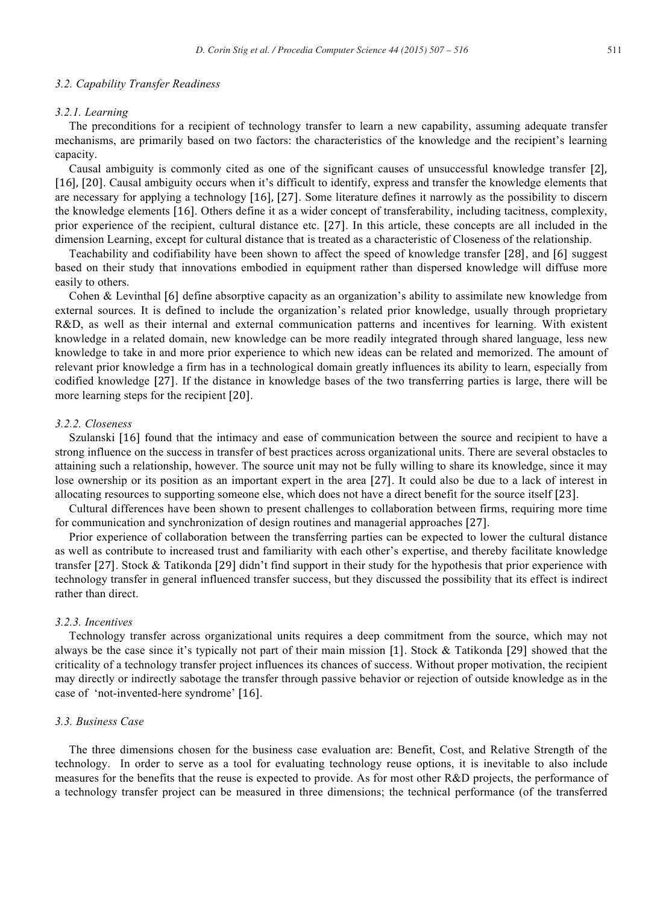#### *3.2. Capability Transfer Readiness*

#### *3.2.1. Learning*

The preconditions for a recipient of technology transfer to learn a new capability, assuming adequate transfer mechanisms, are primarily based on two factors: the characteristics of the knowledge and the recipient's learning capacity.

Causal ambiguity is commonly cited as one of the significant causes of unsuccessful knowledge transfer [2], [16], [20]. Causal ambiguity occurs when it's difficult to identify, express and transfer the knowledge elements that are necessary for applying a technology   . Some literature defines it narrowly as the possibility to discern the knowledge elements  . Others define it as a wider concept of transferability, including tacitness, complexity, prior experience of the recipient, cultural distance etc.  . In this article, these concepts are all included in the dimension Learning, except for cultural distance that is treated as a characteristic of Closeness of the relationship.

Teachability and codifiability have been shown to affect the speed of knowledge transfer [28], and [6] suggest based on their study that innovations embodied in equipment rather than dispersed knowledge will diffuse more easily to others.

Cohen & Levinthal [6] define absorptive capacity as an organization's ability to assimilate new knowledge from external sources. It is defined to include the organization's related prior knowledge, usually through proprietary R&D, as well as their internal and external communication patterns and incentives for learning. With existent knowledge in a related domain, new knowledge can be more readily integrated through shared language, less new knowledge to take in and more prior experience to which new ideas can be related and memorized. The amount of relevant prior knowledge a firm has in a technological domain greatly influences its ability to learn, especially from codified knowledge  . If the distance in knowledge bases of the two transferring parties is large, there will be more learning steps for the recipient [20].

#### *3.2.2. Closeness*

Szulanski [16] found that the intimacy and ease of communication between the source and recipient to have a strong influence on the success in transfer of best practices across organizational units. There are several obstacles to attaining such a relationship, however. The source unit may not be fully willing to share its knowledge, since it may lose ownership or its position as an important expert in the area [27]. It could also be due to a lack of interest in allocating resources to supporting someone else, which does not have a direct benefit for the source itself  .

Cultural differences have been shown to present challenges to collaboration between firms, requiring more time for communication and synchronization of design routines and managerial approaches [27].

Prior experience of collaboration between the transferring parties can be expected to lower the cultural distance as well as contribute to increased trust and familiarity with each other's expertise, and thereby facilitate knowledge transfer [27]. Stock & Tatikonda [29] didn't find support in their study for the hypothesis that prior experience with technology transfer in general influenced transfer success, but they discussed the possibility that its effect is indirect rather than direct.

# *3.2.3. Incentives*

Technology transfer across organizational units requires a deep commitment from the source, which may not always be the case since it's typically not part of their main mission [1]. Stock & Tatikonda [29] showed that the criticality of a technology transfer project influences its chances of success. Without proper motivation, the recipient may directly or indirectly sabotage the transfer through passive behavior or rejection of outside knowledge as in the case of 'not-invented-here syndrome'  .

# *3.3. Business Case*

The three dimensions chosen for the business case evaluation are: Benefit, Cost, and Relative Strength of the technology. In order to serve as a tool for evaluating technology reuse options, it is inevitable to also include measures for the benefits that the reuse is expected to provide. As for most other R&D projects, the performance of a technology transfer project can be measured in three dimensions; the technical performance (of the transferred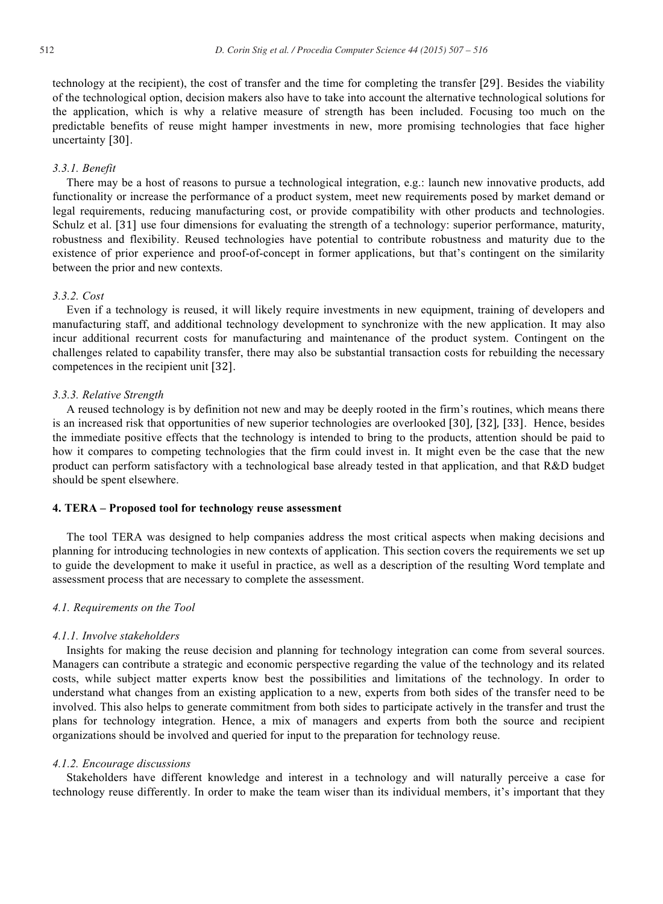technology at the recipient), the cost of transfer and the time for completing the transfer [29]. Besides the viability of the technological option, decision makers also have to take into account the alternative technological solutions for the application, which is why a relative measure of strength has been included. Focusing too much on the predictable benefits of reuse might hamper investments in new, more promising technologies that face higher uncertainty [30].

## *3.3.1. Benefit*

There may be a host of reasons to pursue a technological integration, e.g.: launch new innovative products, add functionality or increase the performance of a product system, meet new requirements posed by market demand or legal requirements, reducing manufacturing cost, or provide compatibility with other products and technologies. Schulz et al. [31] use four dimensions for evaluating the strength of a technology: superior performance, maturity, robustness and flexibility. Reused technologies have potential to contribute robustness and maturity due to the existence of prior experience and proof-of-concept in former applications, but that's contingent on the similarity between the prior and new contexts.

# *3.3.2. Cost*

Even if a technology is reused, it will likely require investments in new equipment, training of developers and manufacturing staff, and additional technology development to synchronize with the new application. It may also incur additional recurrent costs for manufacturing and maintenance of the product system. Contingent on the challenges related to capability transfer, there may also be substantial transaction costs for rebuilding the necessary competences in the recipient unit  .

# *3.3.3. Relative Strength*

A reused technology is by definition not new and may be deeply rooted in the firm's routines, which means there is an increased risk that opportunities of new superior technologies are overlooked [30], [32], [33]. Hence, besides the immediate positive effects that the technology is intended to bring to the products, attention should be paid to how it compares to competing technologies that the firm could invest in. It might even be the case that the new product can perform satisfactory with a technological base already tested in that application, and that R&D budget should be spent elsewhere.

### **4. TERA – Proposed tool for technology reuse assessment**

The tool TERA was designed to help companies address the most critical aspects when making decisions and planning for introducing technologies in new contexts of application. This section covers the requirements we set up to guide the development to make it useful in practice, as well as a description of the resulting Word template and assessment process that are necessary to complete the assessment.

#### *4.1. Requirements on the Tool*

#### *4.1.1. Involve stakeholders*

Insights for making the reuse decision and planning for technology integration can come from several sources. Managers can contribute a strategic and economic perspective regarding the value of the technology and its related costs, while subject matter experts know best the possibilities and limitations of the technology. In order to understand what changes from an existing application to a new, experts from both sides of the transfer need to be involved. This also helps to generate commitment from both sides to participate actively in the transfer and trust the plans for technology integration. Hence, a mix of managers and experts from both the source and recipient organizations should be involved and queried for input to the preparation for technology reuse.

#### *4.1.2. Encourage discussions*

Stakeholders have different knowledge and interest in a technology and will naturally perceive a case for technology reuse differently. In order to make the team wiser than its individual members, it's important that they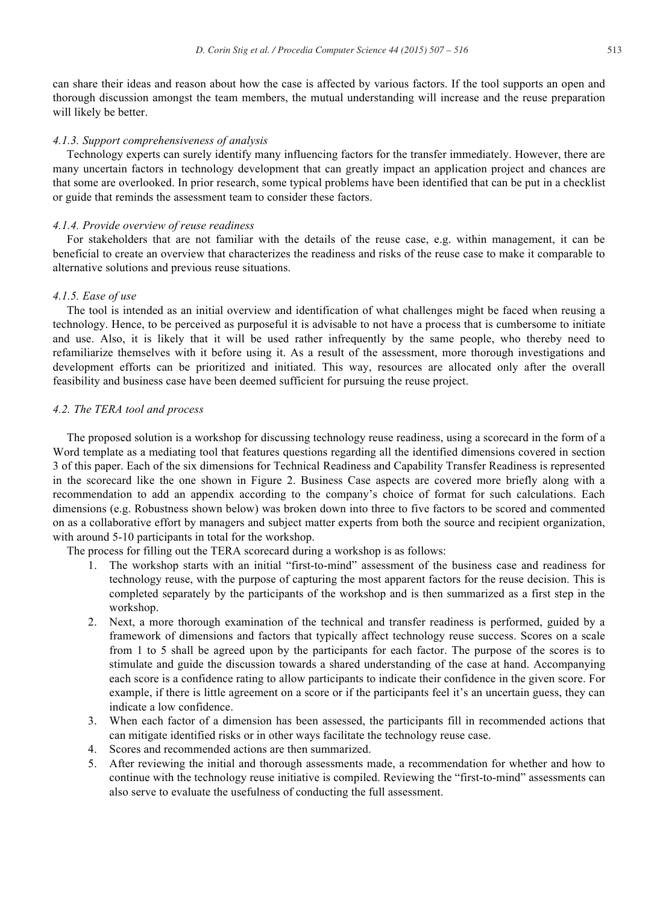can share their ideas and reason about how the case is affected by various factors. If the tool supports an open and thorough discussion amongst the team members, the mutual understanding will increase and the reuse preparation will likely be better.

#### *4.1.3. Support comprehensiveness of analysis*

Technology experts can surely identify many influencing factors for the transfer immediately. However, there are many uncertain factors in technology development that can greatly impact an application project and chances are that some are overlooked. In prior research, some typical problems have been identified that can be put in a checklist or guide that reminds the assessment team to consider these factors.

#### *4.1.4. Provide overview of reuse readiness*

For stakeholders that are not familiar with the details of the reuse case, e.g. within management, it can be beneficial to create an overview that characterizes the readiness and risks of the reuse case to make it comparable to alternative solutions and previous reuse situations.

# *4.1.5. Ease of use*

The tool is intended as an initial overview and identification of what challenges might be faced when reusing a technology. Hence, to be perceived as purposeful it is advisable to not have a process that is cumbersome to initiate and use. Also, it is likely that it will be used rather infrequently by the same people, who thereby need to refamiliarize themselves with it before using it. As a result of the assessment, more thorough investigations and development efforts can be prioritized and initiated. This way, resources are allocated only after the overall feasibility and business case have been deemed sufficient for pursuing the reuse project.

#### *4.2. The TERA tool and process*

The proposed solution is a workshop for discussing technology reuse readiness, using a scorecard in the form of a Word template as a mediating tool that features questions regarding all the identified dimensions covered in section 3 of this paper. Each of the six dimensions for Technical Readiness and Capability Transfer Readiness is represented in the scorecard like the one shown in Figure 2. Business Case aspects are covered more briefly along with a recommendation to add an appendix according to the company's choice of format for such calculations. Each dimensions (e.g. Robustness shown below) was broken down into three to five factors to be scored and commented on as a collaborative effort by managers and subject matter experts from both the source and recipient organization, with around 5-10 participants in total for the workshop.

The process for filling out the TERA scorecard during a workshop is as follows:

- 1. The workshop starts with an initial "first-to-mind" assessment of the business case and readiness for technology reuse, with the purpose of capturing the most apparent factors for the reuse decision. This is completed separately by the participants of the workshop and is then summarized as a first step in the workshop.
- 2. Next, a more thorough examination of the technical and transfer readiness is performed, guided by a framework of dimensions and factors that typically affect technology reuse success. Scores on a scale from 1 to 5 shall be agreed upon by the participants for each factor. The purpose of the scores is to stimulate and guide the discussion towards a shared understanding of the case at hand. Accompanying each score is a confidence rating to allow participants to indicate their confidence in the given score. For example, if there is little agreement on a score or if the participants feel it's an uncertain guess, they can indicate a low confidence.
- 3. When each factor of a dimension has been assessed, the participants fill in recommended actions that can mitigate identified risks or in other ways facilitate the technology reuse case.
- 4. Scores and recommended actions are then summarized.
- 5. After reviewing the initial and thorough assessments made, a recommendation for whether and how to continue with the technology reuse initiative is compiled. Reviewing the "first-to-mind" assessments can also serve to evaluate the usefulness of conducting the full assessment.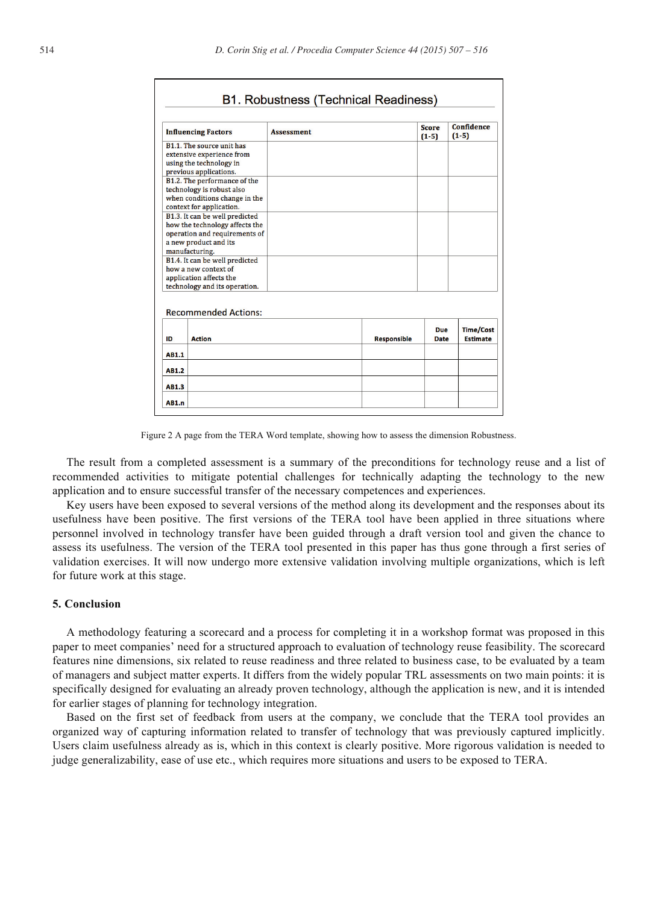|                                                                                                                                              | <b>Influencing Factors</b>                                                                                             | <b>Assessment</b> |                    | <b>Score</b><br>$(1-5)$   | Confidence<br>$(1-5)$               |
|----------------------------------------------------------------------------------------------------------------------------------------------|------------------------------------------------------------------------------------------------------------------------|-------------------|--------------------|---------------------------|-------------------------------------|
|                                                                                                                                              | B1.1. The source unit has<br>extensive experience from<br>using the technology in<br>previous applications.            |                   |                    |                           |                                     |
|                                                                                                                                              | B1.2. The performance of the<br>technology is robust also<br>when conditions change in the<br>context for application. |                   |                    |                           |                                     |
| B1.3. It can be well predicted<br>how the technology affects the<br>operation and requirements of<br>a new product and its<br>manufacturing. |                                                                                                                        |                   |                    |                           |                                     |
| B1.4. It can be well predicted<br>how a new context of<br>application affects the<br>technology and its operation.                           |                                                                                                                        |                   |                    |                           |                                     |
|                                                                                                                                              | <b>Recommended Actions:</b>                                                                                            |                   |                    |                           |                                     |
| ID                                                                                                                                           | <b>Action</b>                                                                                                          |                   | <b>Responsible</b> | <b>Due</b><br><b>Date</b> | <b>Time/Cost</b><br><b>Estimate</b> |
| AB1.1                                                                                                                                        |                                                                                                                        |                   |                    |                           |                                     |
| AB1.2                                                                                                                                        |                                                                                                                        |                   |                    |                           |                                     |
| AB1.3                                                                                                                                        |                                                                                                                        |                   |                    |                           |                                     |
| AB1.n                                                                                                                                        |                                                                                                                        |                   |                    |                           |                                     |

Figure 2 A page from the TERA Word template, showing how to assess the dimension Robustness.

The result from a completed assessment is a summary of the preconditions for technology reuse and a list of recommended activities to mitigate potential challenges for technically adapting the technology to the new application and to ensure successful transfer of the necessary competences and experiences.

Key users have been exposed to several versions of the method along its development and the responses about its usefulness have been positive. The first versions of the TERA tool have been applied in three situations where personnel involved in technology transfer have been guided through a draft version tool and given the chance to assess its usefulness. The version of the TERA tool presented in this paper has thus gone through a first series of validation exercises. It will now undergo more extensive validation involving multiple organizations, which is left for future work at this stage.

# **5. Conclusion**

A methodology featuring a scorecard and a process for completing it in a workshop format was proposed in this paper to meet companies' need for a structured approach to evaluation of technology reuse feasibility. The scorecard features nine dimensions, six related to reuse readiness and three related to business case, to be evaluated by a team of managers and subject matter experts. It differs from the widely popular TRL assessments on two main points: it is specifically designed for evaluating an already proven technology, although the application is new, and it is intended for earlier stages of planning for technology integration.

Based on the first set of feedback from users at the company, we conclude that the TERA tool provides an organized way of capturing information related to transfer of technology that was previously captured implicitly. Users claim usefulness already as is, which in this context is clearly positive. More rigorous validation is needed to judge generalizability, ease of use etc., which requires more situations and users to be exposed to TERA.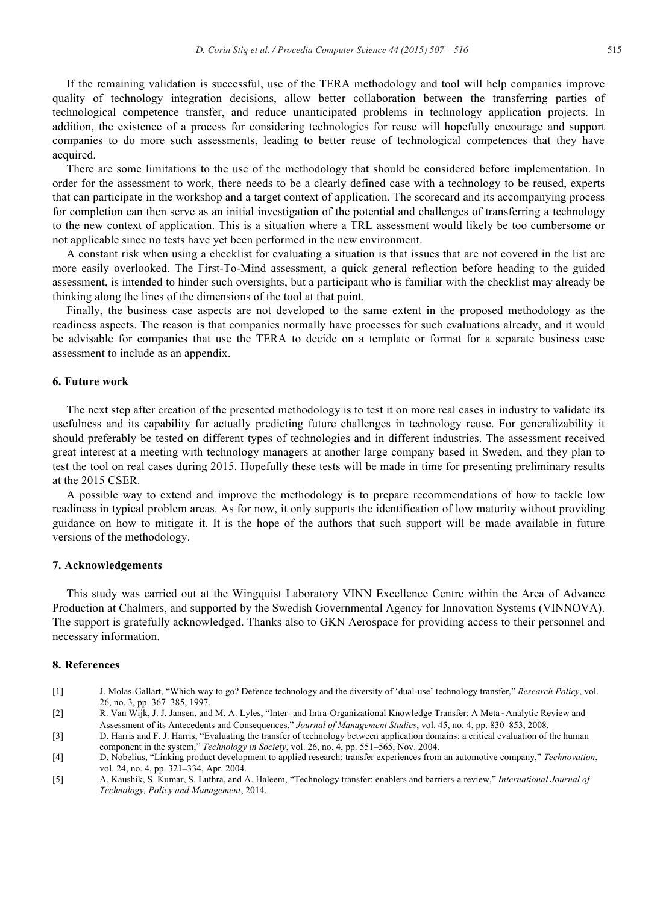If the remaining validation is successful, use of the TERA methodology and tool will help companies improve quality of technology integration decisions, allow better collaboration between the transferring parties of technological competence transfer, and reduce unanticipated problems in technology application projects. In addition, the existence of a process for considering technologies for reuse will hopefully encourage and support companies to do more such assessments, leading to better reuse of technological competences that they have acquired.

There are some limitations to the use of the methodology that should be considered before implementation. In order for the assessment to work, there needs to be a clearly defined case with a technology to be reused, experts that can participate in the workshop and a target context of application. The scorecard and its accompanying process for completion can then serve as an initial investigation of the potential and challenges of transferring a technology to the new context of application. This is a situation where a TRL assessment would likely be too cumbersome or not applicable since no tests have yet been performed in the new environment.

A constant risk when using a checklist for evaluating a situation is that issues that are not covered in the list are more easily overlooked. The First-To-Mind assessment, a quick general reflection before heading to the guided assessment, is intended to hinder such oversights, but a participant who is familiar with the checklist may already be thinking along the lines of the dimensions of the tool at that point.

Finally, the business case aspects are not developed to the same extent in the proposed methodology as the readiness aspects. The reason is that companies normally have processes for such evaluations already, and it would be advisable for companies that use the TERA to decide on a template or format for a separate business case assessment to include as an appendix.

# **6. Future work**

The next step after creation of the presented methodology is to test it on more real cases in industry to validate its usefulness and its capability for actually predicting future challenges in technology reuse. For generalizability it should preferably be tested on different types of technologies and in different industries. The assessment received great interest at a meeting with technology managers at another large company based in Sweden, and they plan to test the tool on real cases during 2015. Hopefully these tests will be made in time for presenting preliminary results at the 2015 CSER.

A possible way to extend and improve the methodology is to prepare recommendations of how to tackle low readiness in typical problem areas. As for now, it only supports the identification of low maturity without providing guidance on how to mitigate it. It is the hope of the authors that such support will be made available in future versions of the methodology.

#### **7. Acknowledgements**

This study was carried out at the Wingquist Laboratory VINN Excellence Centre within the Area of Advance Production at Chalmers, and supported by the Swedish Governmental Agency for Innovation Systems (VINNOVA). The support is gratefully acknowledged. Thanks also to GKN Aerospace for providing access to their personnel and necessary information.

# **8. References**

- [1] J. Molas-Gallart, "Which way to go? Defence technology and the diversity of 'dual-use' technology transfer," *Research Policy*, vol. 26, no. 3, pp. 367–385, 1997.
- [2] R. Van Wijk, J. J. Jansen, and M. A. Lyles, "Inter- and Intra-Organizational Knowledge Transfer: A Meta‐Analytic Review and Assessment of its Antecedents and Consequences," *Journal of Management Studies*, vol. 45, no. 4, pp. 830–853, 2008.
- [3] D. Harris and F. J. Harris, "Evaluating the transfer of technology between application domains: a critical evaluation of the human component in the system," *Technology in Society*, vol. 26, no. 4, pp. 551–565, Nov. 2004.
- [4] D. Nobelius, "Linking product development to applied research: transfer experiences from an automotive company," *Technovation*, vol. 24, no. 4, pp. 321–334, Apr. 2004.
- [5] A. Kaushik, S. Kumar, S. Luthra, and A. Haleem, "Technology transfer: enablers and barriers-a review," *International Journal of Technology, Policy and Management*, 2014.